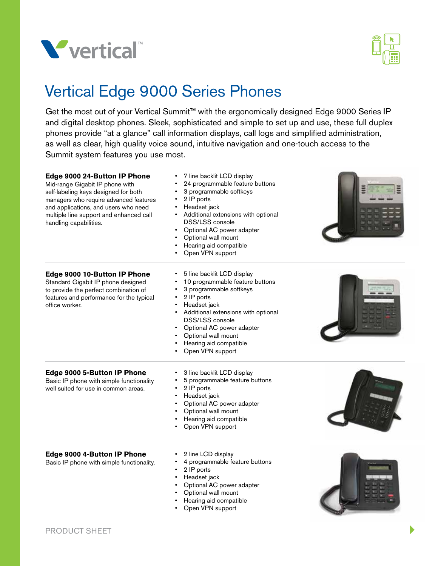



# Vertical Edge 9000 Series Phones

Get the most out of your Vertical Summit™ with the ergonomically designed Edge 9000 Series IP and digital desktop phones. Sleek, sophisticated and simple to set up and use, these full duplex phones provide "at a glance" call information displays, call logs and simplified administration, as well as clear, high quality voice sound, intuitive navigation and one-touch access to the Summit system features you use most.

| Edge 9000 24-Button IP Phone<br>Mid-range Gigabit IP phone with<br>self-labeling keys designed for both<br>managers who require advanced features<br>and applications, and users who need<br>multiple line support and enhanced call<br>handling capabilities. | 7 line backlit LCD display<br>24 programmable feature buttons<br>3 programmable softkeys<br>2 IP ports<br>٠<br>Headset jack<br>Additional extensions with optional<br>DSS/LSS console<br>Optional AC power adapter<br>Optional wall mount<br>Hearing aid compatible<br>Open VPN support   |  |
|----------------------------------------------------------------------------------------------------------------------------------------------------------------------------------------------------------------------------------------------------------------|-------------------------------------------------------------------------------------------------------------------------------------------------------------------------------------------------------------------------------------------------------------------------------------------|--|
| Edge 9000 10-Button IP Phone<br>Standard Gigabit IP phone designed<br>to provide the perfect combination of<br>features and performance for the typical<br>office worker.                                                                                      | 5 line backlit LCD display<br>10 programmable feature buttons<br>3 programmable softkeys<br>2 IP ports<br>Headset jack<br>Additional extensions with optional<br><b>DSS/LSS</b> console<br>Optional AC power adapter<br>Optional wall mount<br>Hearing aid compatible<br>Open VPN support |  |
| Edge 9000 5-Button IP Phone<br>Basic IP phone with simple functionality<br>well suited for use in common areas.                                                                                                                                                | 3 line backlit LCD display<br>5 programmable feature buttons<br>2 IP ports<br>Headset jack<br>٠<br>Optional AC power adapter<br>Optional wall mount<br>Hearing aid compatible<br>Open VPN support                                                                                         |  |
| Edge 9000 4-Button IP Phone<br>Basic IP phone with simple functionality.                                                                                                                                                                                       | 2 line LCD display<br>4 programmable feature buttons<br>2 IP ports<br>Headset jack<br>Optional AC power adapter<br>Optional wall mount                                                                                                                                                    |  |

Hearing aid compatible • Open VPN support